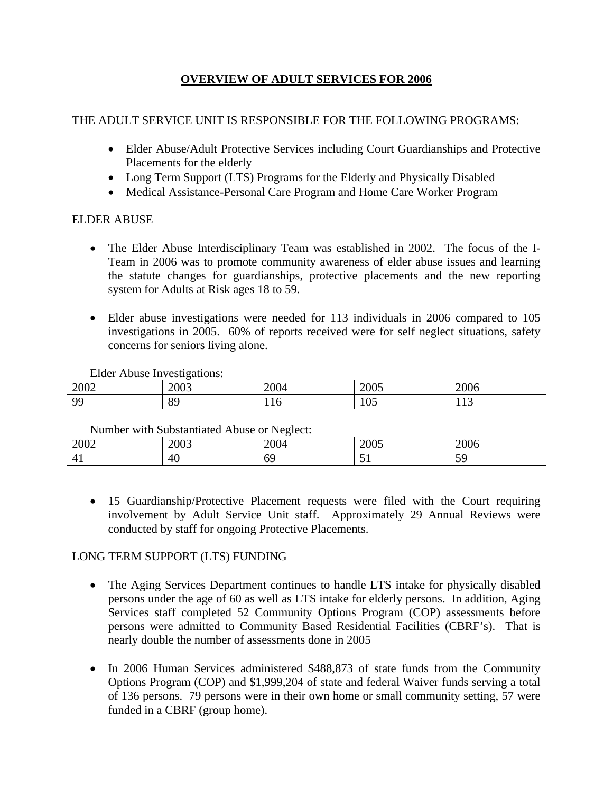# **OVERVIEW OF ADULT SERVICES FOR 2006**

#### THE ADULT SERVICE UNIT IS RESPONSIBLE FOR THE FOLLOWING PROGRAMS:

- Elder Abuse/Adult Protective Services including Court Guardianships and Protective Placements for the elderly
- Long Term Support (LTS) Programs for the Elderly and Physically Disabled
- Medical Assistance-Personal Care Program and Home Care Worker Program

## ELDER ABUSE

- The Elder Abuse Interdisciplinary Team was established in 2002. The focus of the I-Team in 2006 was to promote community awareness of elder abuse issues and learning the statute changes for guardianships, protective placements and the new reporting system for Adults at Risk ages 18 to 59.
- Elder abuse investigations were needed for 113 individuals in 2006 compared to 105 investigations in 2005. 60% of reports received were for self neglect situations, safety concerns for seniors living alone.

Elder Abuse Investigations:

| 2002     | 2003                     | 2004 | $\Omega$<br>$\sim$ UUJ | 2006                     |
|----------|--------------------------|------|------------------------|--------------------------|
| $\alpha$ | $\Omega$<br>$\mathbf{U}$ | ᅶᅶ   | 105                    | $\sim$<br>11 J<br>$\sim$ |

Number with Substantiated Abuse or Neglect:

| 2002                                        | 0.002<br>$\sim$ 000 | 200 <sup>2</sup> | $\sim$ $\sim$ $\sim$<br>$\triangle$ UUJ | <b>2006</b> |  |  |
|---------------------------------------------|---------------------|------------------|-----------------------------------------|-------------|--|--|
| $\overline{\phantom{a}}$<br>$\Delta$<br>. . | AC<br>-4U           | ∽                | $\overline{\phantom{0}}$<br>. .         | ັ           |  |  |
|                                             |                     |                  |                                         |             |  |  |

• 15 Guardianship/Protective Placement requests were filed with the Court requiring involvement by Adult Service Unit staff. Approximately 29 Annual Reviews were conducted by staff for ongoing Protective Placements.

## LONG TERM SUPPORT (LTS) FUNDING

- The Aging Services Department continues to handle LTS intake for physically disabled persons under the age of 60 as well as LTS intake for elderly persons. In addition, Aging Services staff completed 52 Community Options Program (COP) assessments before persons were admitted to Community Based Residential Facilities (CBRF's). That is nearly double the number of assessments done in 2005
- In 2006 Human Services administered \$488,873 of state funds from the Community Options Program (COP) and \$1,999,204 of state and federal Waiver funds serving a total of 136 persons. 79 persons were in their own home or small community setting, 57 were funded in a CBRF (group home).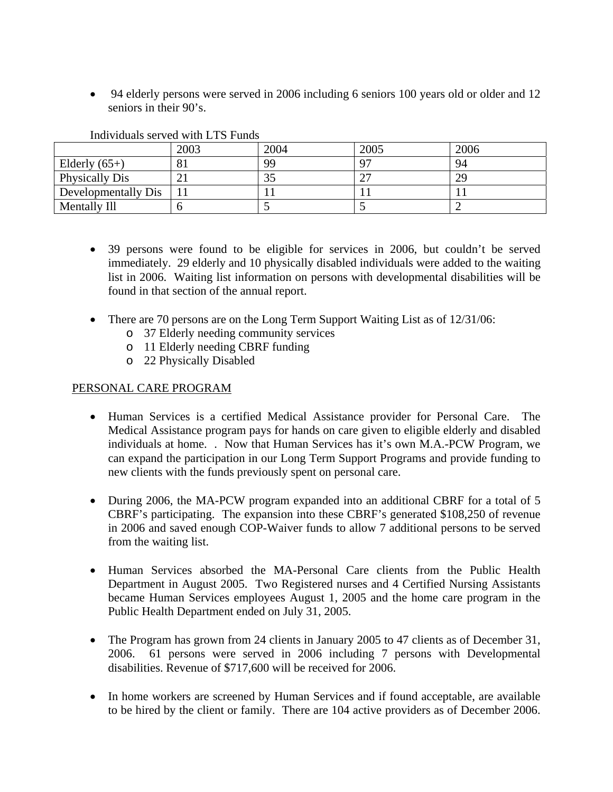• 94 elderly persons were served in 2006 including 6 seniors 100 years old or older and 12 seniors in their 90's.

|                     | 2003 | 2004 | 2005 | 2006 |
|---------------------|------|------|------|------|
| Elderly $(65+)$     |      | 99   |      | 94   |
| Physically Dis      |      | ب ب  |      | 29   |
| Developmentally Dis |      |      |      |      |
| Mentally Ill        |      |      |      |      |

Individuals served with LTS Funds

- 39 persons were found to be eligible for services in 2006, but couldn't be served immediately. 29 elderly and 10 physically disabled individuals were added to the waiting list in 2006. Waiting list information on persons with developmental disabilities will be found in that section of the annual report.
- There are 70 persons are on the Long Term Support Waiting List as of 12/31/06:
	- o 37 Elderly needing community services
	- o 11 Elderly needing CBRF funding
	- o 22 Physically Disabled

#### PERSONAL CARE PROGRAM

- Human Services is a certified Medical Assistance provider for Personal Care. The Medical Assistance program pays for hands on care given to eligible elderly and disabled individuals at home. . Now that Human Services has it's own M.A.-PCW Program, we can expand the participation in our Long Term Support Programs and provide funding to new clients with the funds previously spent on personal care.
- During 2006, the MA-PCW program expanded into an additional CBRF for a total of 5 CBRF's participating. The expansion into these CBRF's generated \$108,250 of revenue in 2006 and saved enough COP-Waiver funds to allow 7 additional persons to be served from the waiting list.
- Human Services absorbed the MA-Personal Care clients from the Public Health Department in August 2005. Two Registered nurses and 4 Certified Nursing Assistants became Human Services employees August 1, 2005 and the home care program in the Public Health Department ended on July 31, 2005.
- The Program has grown from 24 clients in January 2005 to 47 clients as of December 31, 2006. 61 persons were served in 2006 including 7 persons with Developmental disabilities. Revenue of \$717,600 will be received for 2006.
- In home workers are screened by Human Services and if found acceptable, are available to be hired by the client or family. There are 104 active providers as of December 2006.